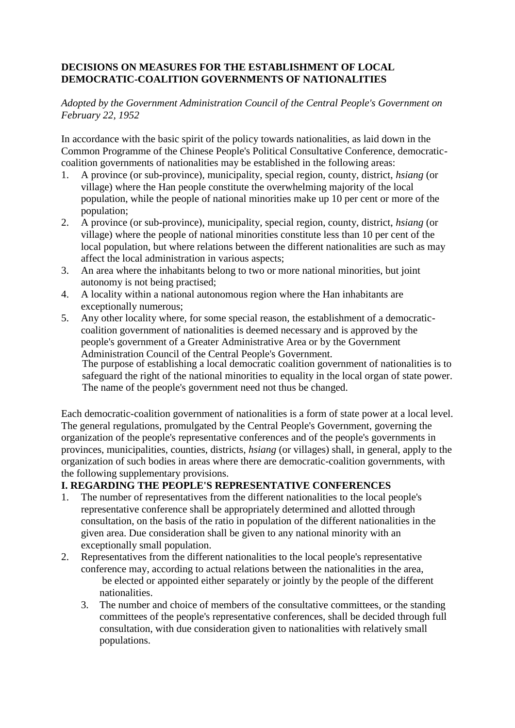## **DECISIONS ON MEASURES FOR THE ESTABLISHMENT OF LOCAL DEMOCRATIC-COALITION GOVERNMENTS OF NATIONALITIES**

*Adopted by the Government Administration Council of the Central People's Government on February 22, 1952*

In accordance with the basic spirit of the policy towards nationalities, as laid down in the Common Programme of the Chinese People's Political Consultative Conference, democraticcoalition governments of nationalities may be established in the following areas:

- 1. A province (or sub-province), municipality, special region, county, district, *hsiang* (or village) where the Han people constitute the overwhelming majority of the local population, while the people of national minorities make up 10 per cent or more of the population;
- 2. A province (or sub-province), municipality, special region, county, district, *hsiang* (or village) where the people of national minorities constitute less than 10 per cent of the local population, but where relations between the different nationalities are such as may affect the local administration in various aspects;
- 3. An area where the inhabitants belong to two or more national minorities, but joint autonomy is not being practised;
- 4. A locality within a national autonomous region where the Han inhabitants are exceptionally numerous;
- 5. Any other locality where, for some special reason, the establishment of a democraticcoalition government of nationalities is deemed necessary and is approved by the people's government of a Greater Administrative Area or by the Government Administration Council of the Central People's Government. The purpose of establishing a local democratic coalition government of nationalities is to safeguard the right of the national minorities to equality in the local organ of state power. The name of the people's government need not thus be changed.

Each democratic-coalition government of nationalities is a form of state power at a local level. The general regulations, promulgated by the Central People's Government, governing the organization of the people's representative conferences and of the people's governments in provinces, municipalities, counties, districts, *hsiang* (or villages) shall, in general, apply to the organization of such bodies in areas where there are democratic-coalition governments, with the following supplementary provisions.

## **I. REGARDING THE PEOPLE'S REPRESENTATIVE CONFERENCES**

- 1. The number of representatives from the different nationalities to the local people's representative conference shall be appropriately determined and allotted through consultation, on the basis of the ratio in population of the different nationalities in the given area. Due consideration shall be given to any national minority with an exceptionally small population.
- 2. Representatives from the different nationalities to the local people's representative conference may, according to actual relations between the nationalities in the area, be elected or appointed either separately or jointly by the people of the different nationalities.
	- 3. The number and choice of members of the consultative committees, or the standing committees of the people's representative conferences, shall be decided through full consultation, with due consideration given to nationalities with relatively small populations.